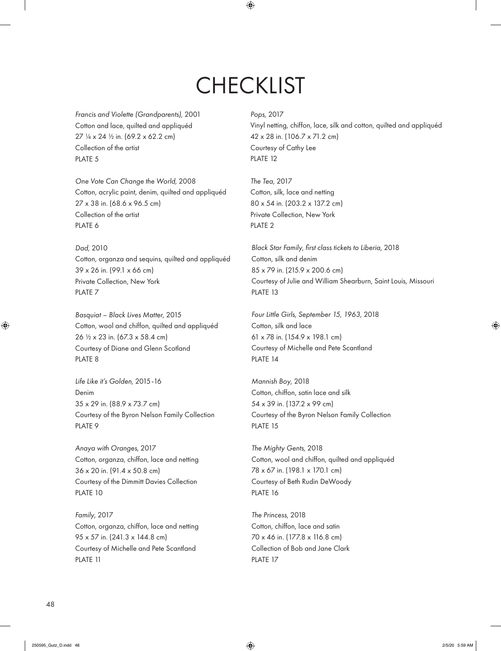**CHECKLIST** 

 $\bigoplus$ 

Francis and Violette (Grandparents), 2001 Cotton and lace, quilted and appliquéd 27 ¼ x 24 ½ in. (69.2 x 62.2 cm) Collection of the artist PLATE 5

One Vote Can Change the World, 2008 Cotton, acrylic paint, denim, quilted and appliquéd 27 x 38 in. (68.6 x 96.5 cm) Collection of the artist PLATE 6

Dad, 2010 Cotton, organza and sequins, quilted and appliquéd 39 x 26 in. (99.1 x 66 cm) Private Collection, New York PLATE 7

Basquiat – Black Lives Matter, 2015 Cotton, wool and chiffon, quilted and appliquéd 26 ½ x 23 in. (67.3 x 58.4 cm) Courtesy of Diane and Glenn Scotland PLATE 8

Life Like it's Golden, 2015-16 Denim 35 x 29 in. (88.9 x 73.7 cm) Courtesy of the Byron Nelson Family Collection PLATE 9

Anaya with Oranges, 2017 Cotton, organza, chiffon, lace and netting 36 x 20 in. (91.4 x 50.8 cm) Courtesy of the Dimmitt Davies Collection PLATE 10 PLATE 16 PLATE 16

Family, 2017 Cotton, organza, chiffon, lace and netting 95 x 57 in. (241.3 x 144.8 cm) Courtesy of Michelle and Pete Scantland PLATE 11

Pops, 2017

Vinyl netting, chiffon, lace, silk and cotton, quilted and appliquéd 42 x 28 in. (106.7 x 71.2 cm) Courtesy of Cathy Lee PLATE 12

The Tea, 2017 Cotton, silk, lace and netting 80 x 54 in. (203.2 x 137.2 cm) Private Collection, New York PLATE 2

Black Star Family, first class tickets to Liberia, 2018 Cotton, silk and denim 85 x 79 in. (215.9 x 200.6 cm) Courtesy of Julie and William Shearburn, Saint Louis, Missouri PLATE 13

Four Little Girls, September 15, 1963, 2018 Cotton, silk and lace 61 x 78 in. (154.9 x 198.1 cm) Courtesy of Michelle and Pete Scantland PLATE 14

Mannish Boy, 2018 Cotton, chiffon, satin lace and silk 54 x 39 in. (137.2 x 99 cm) Courtesy of the Byron Nelson Family Collection PLATE 15

The Mighty Gents, 2018 Cotton, wool and chiffon, quilted and appliquéd 78 x 67 in. (198.1 x 170.1 cm) Courtesy of Beth Rudin DeWoody PLATE 16

The Princess, 2018 Cotton, chiffon, lace and satin 70 x 46 in. (177.8 x 116.8 cm) Collection of Bob and Jane Clark PLATE 17

 $\bigoplus$ 

⊕